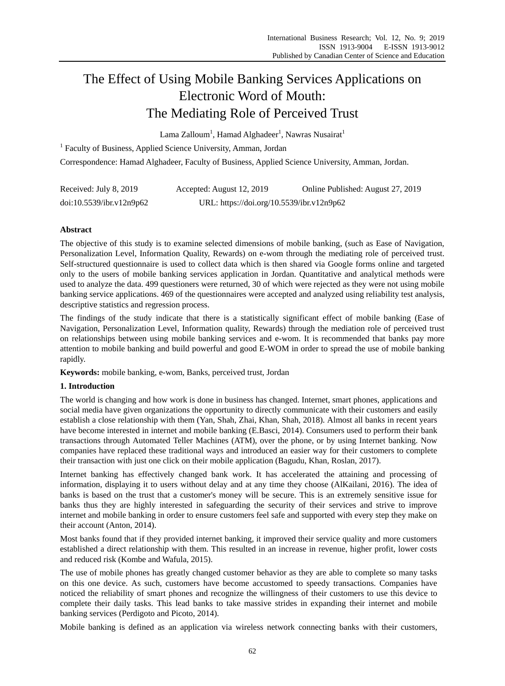# The Effect of Using Mobile Banking Services Applications on Electronic Word of Mouth: The Mediating Role of Perceived Trust

 $\rm Lama~Zalloum^1$ , Hamad Alghadeer $^1$ , Nawras Nusairat $^1$ 

<sup>1</sup> Faculty of Business, Applied Science University, Amman, Jordan

Correspondence: Hamad Alghadeer, Faculty of Business, Applied Science University, Amman, Jordan.

| Received: July 8, 2019<br>Accepted: August 12, 2019 |                                           | Online Published: August 27, 2019 |
|-----------------------------------------------------|-------------------------------------------|-----------------------------------|
| doi:10.5539/ibr.v12n9p62                            | URL: https://doi.org/10.5539/ibr.v12n9p62 |                                   |

# **Abstract**

The objective of this study is to examine selected dimensions of mobile banking, (such as Ease of Navigation, Personalization Level, Information Quality, Rewards) on e-wom through the mediating role of perceived trust. Self-structured questionnaire is used to collect data which is then shared via Google forms online and targeted only to the users of mobile banking services application in Jordan. Quantitative and analytical methods were used to analyze the data. 499 questioners were returned, 30 of which were rejected as they were not using mobile banking service applications. 469 of the questionnaires were accepted and analyzed using reliability test analysis, descriptive statistics and regression process.

The findings of the study indicate that there is a statistically significant effect of mobile banking (Ease of Navigation, Personalization Level, Information quality, Rewards) through the mediation role of perceived trust on relationships between using mobile banking services and e-wom. It is recommended that banks pay more attention to mobile banking and build powerful and good E-WOM in order to spread the use of mobile banking rapidly.

**Keywords:** mobile banking, e-wom, Banks, perceived trust, Jordan

# **1. Introduction**

The world is changing and how work is done in business has changed. Internet, smart phones, applications and social media have given organizations the opportunity to directly communicate with their customers and easily establish a close relationship with them (Yan, Shah, Zhai, Khan, Shah, 2018). Almost all banks in recent years have become interested in internet and mobile banking (E.Basci, 2014). Consumers used to perform their bank transactions through Automated Teller Machines (ATM), over the phone, or by using Internet banking. Now companies have replaced these traditional ways and introduced an easier way for their customers to complete their transaction with just one click on their mobile application (Bagudu, Khan, Roslan, 2017).

Internet banking has effectively changed bank work. It has accelerated the attaining and processing of information, displaying it to users without delay and at any time they choose (AlKailani, 2016). The idea of banks is based on the trust that a customer's money will be secure. This is an extremely sensitive issue for banks thus they are highly interested in safeguarding the security of their services and strive to improve internet and mobile banking in order to ensure customers feel safe and supported with every step they make on their account (Anton, 2014).

Most banks found that if they provided internet banking, it improved their service quality and more customers established a direct relationship with them. This resulted in an increase in revenue, higher profit, lower costs and reduced risk (Kombe and Wafula, 2015).

The use of mobile phones has greatly changed customer behavior as they are able to complete so many tasks on this one device. As such, customers have become accustomed to speedy transactions. Companies have noticed the reliability of smart phones and recognize the willingness of their customers to use this device to complete their daily tasks. This lead banks to take massive strides in expanding their internet and mobile banking services (Perdigoto and Picoto, 2014).

Mobile banking is defined as an application via wireless network connecting banks with their customers,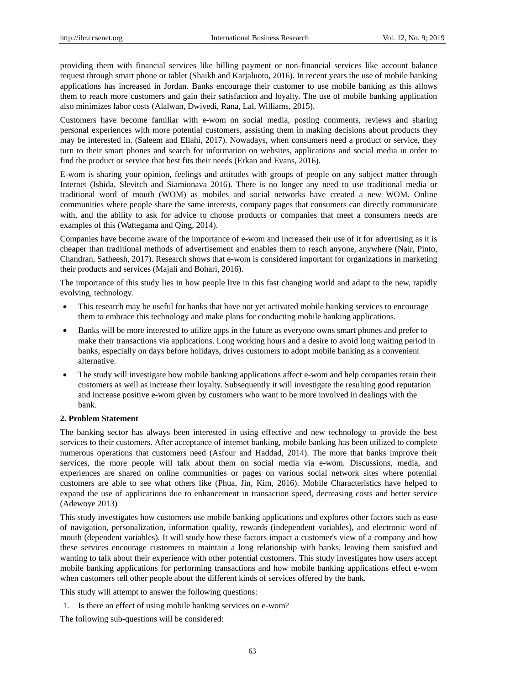providing them with financial services like billing payment or non-financial services like account balance request through smart phone or tablet (Shaikh and Karjaluoto, 2016). In recent years the use of mobile banking applications has increased in Jordan. Banks encourage their customer to use mobile banking as this allows them to reach more customers and gain their satisfaction and loyalty. The use of mobile banking application also minimizes labor costs (Alalwan, Dwivedi, Rana, Lal, Williams, 2015).

Customers have become familiar with e-wom on social media, posting comments, reviews and sharing personal experiences with more potential customers, assisting them in making decisions about products they may be interested in. (Saleem and Ellahi, 2017). Nowadays, when consumers need a product or service, they turn to their smart phones and search for information on websites, applications and social media in order to find the product or service that best fits their needs (Erkan and Evans, 2016).

E-wom is sharing your opinion, feelings and attitudes with groups of people on any subject matter through Internet (Ishida, Slevitch and Siamionava 2016). There is no longer any need to use traditional media or traditional word of mouth (WOM) as mobiles and social networks have created a new WOM. Online communities where people share the same interests, company pages that consumers can directly communicate with, and the ability to ask for advice to choose products or companies that meet a consumers needs are examples of this (Wattegama and Qing, 2014).

Companies have become aware of the importance of e-wom and increased their use of it for advertising as it is cheaper than traditional methods of advertisement and enables them to reach anyone, anywhere (Nair, Pinto, Chandran, Satheesh, 2017). Research shows that e-wom is considered important for organizations in marketing their products and services (Majali and Bohari, 2016).

The importance of this study lies in how people live in this fast changing world and adapt to the new, rapidly evolving, technology.

- This research may be useful for banks that have not yet activated mobile banking services to encourage them to embrace this technology and make plans for conducting mobile banking applications.
- Banks will be more interested to utilize apps in the future as everyone owns smart phones and prefer to make their transactions via applications. Long working hours and a desire to avoid long waiting period in banks, especially on days before holidays, drives customers to adopt mobile banking as a convenient alternative.
- The study will investigate how mobile banking applications affect e-wom and help companies retain their customers as well as increase their loyalty. Subsequently it will investigate the resulting good reputation and increase positive e-wom given by customers who want to be more involved in dealings with the bank.

# **2. Problem Statement**

The banking sector has always been interested in using effective and new technology to provide the best services to their customers. After acceptance of internet banking, mobile banking has been utilized to complete numerous operations that customers need (Asfour and Haddad, 2014). The more that banks improve their services, the more people will talk about them on social media via e-wom. Discussions, media, and experiences are shared on online communities or pages on various social network sites where potential customers are able to see what others like (Phua, Jin, Kim, 2016). Mobile Characteristics have helped to expand the use of applications due to enhancement in transaction speed, decreasing costs and better service (Adewoye 2013)

This study investigates how customers use mobile banking applications and explores other factors such as ease of navigation, personalization, information quality, rewards (independent variables), and electronic word of mouth (dependent variables). It will study how these factors impact a customer's view of a company and how these services encourage customers to maintain a long relationship with banks, leaving them satisfied and wanting to talk about their experience with other potential customers. This study investigates how users accept mobile banking applications for performing transactions and how mobile banking applications effect e-wom when customers tell other people about the different kinds of services offered by the bank.

This study will attempt to answer the following questions:

1. Is there an effect of using mobile banking services on e-wom?

The following sub-questions will be considered: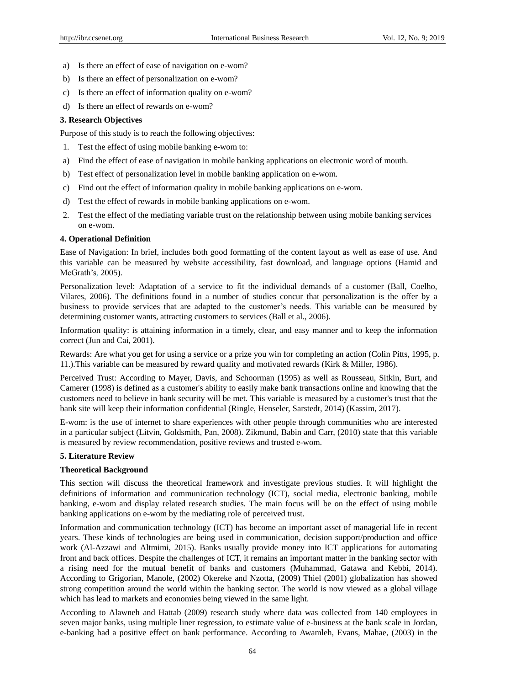- a) Is there an effect of ease of navigation on e-wom?
- b) Is there an effect of personalization on e-wom?
- c) Is there an effect of information quality on e-wom?
- d) Is there an effect of rewards on e-wom?

#### **3. Research Objectives**

Purpose of this study is to reach the following objectives:

- 1. Test the effect of using mobile banking e-wom to:
- a) Find the effect of ease of navigation in mobile banking applications on electronic word of mouth.
- b) Test effect of personalization level in mobile banking application on e-wom.
- c) Find out the effect of information quality in mobile banking applications on e-wom.
- d) Test the effect of rewards in mobile banking applications on e-wom.
- 2. Test the effect of the mediating variable trust on the relationship between using mobile banking services on e-wom.

#### **4. Operational Definition**

Ease of Navigation: In brief, includes both good formatting of the content layout as well as ease of use. And this variable can be measured by website accessibility, fast download, and language options (Hamid and McGrath's, 2005).

Personalization level: Adaptation of a service to fit the individual demands of a customer (Ball, Coelho, Vilares, 2006). The definitions found in a number of studies concur that personalization is the offer by a business to provide services that are adapted to the customer's needs. This variable can be measured by determining customer wants, attracting customers to services (Ball et al., 2006).

Information quality: is attaining information in a timely, clear, and easy manner and to keep the information correct (Jun and Cai, 2001).

Rewards: Are what you get for using a service or a prize you win for completing an action (Colin Pitts, 1995, p. 11.).This variable can be measured by reward quality and motivated rewards (Kirk & Miller, 1986).

Perceived Trust: According to Mayer, Davis, and Schoorman (1995) as well as Rousseau, Sitkin, Burt, and Camerer (1998) is defined as a customer's ability to easily make bank transactions online and knowing that the customers need to believe in bank security will be met. This variable is measured by a customer's trust that the bank site will keep their information confidential (Ringle, Henseler, Sarstedt, 2014) (Kassim, 2017).

E-wom: is the use of internet to share experiences with other people through communities who are interested in a particular subject (Litvin, Goldsmith, Pan, 2008). Zikmund, Babin and Carr, (2010) state that this variable is measured by review recommendation, positive reviews and trusted e-wom.

## **5. Literature Review**

## **Theoretical Background**

This section will discuss the theoretical framework and investigate previous studies. It will highlight the definitions of information and communication technology (ICT), social media, electronic banking, mobile banking, e-wom and display related research studies. The main focus will be on the effect of using mobile banking applications on e-wom by the mediating role of perceived trust.

Information and communication technology (ICT) has become an important asset of managerial life in recent years. These kinds of technologies are being used in communication, decision support/production and office work (Al-Azzawi and Altmimi, 2015). Banks usually provide money into ICT applications for automating front and back offices. Despite the challenges of ICT, it remains an important matter in the banking sector with a rising need for the mutual benefit of banks and customers (Muhammad, Gatawa and Kebbi, 2014). According to Grigorian, Manole, (2002) Okereke and Nzotta, (2009) Thiel (2001) globalization has showed strong competition around the world within the banking sector. The world is now viewed as a global village which has lead to markets and economies being viewed in the same light.

According to Alawneh and Hattab (2009) research study where data was collected from 140 employees in seven major banks, using multiple liner regression, to estimate value of e-business at the bank scale in Jordan, e-banking had a positive effect on bank performance. According to Awamleh, Evans, Mahae, (2003) in the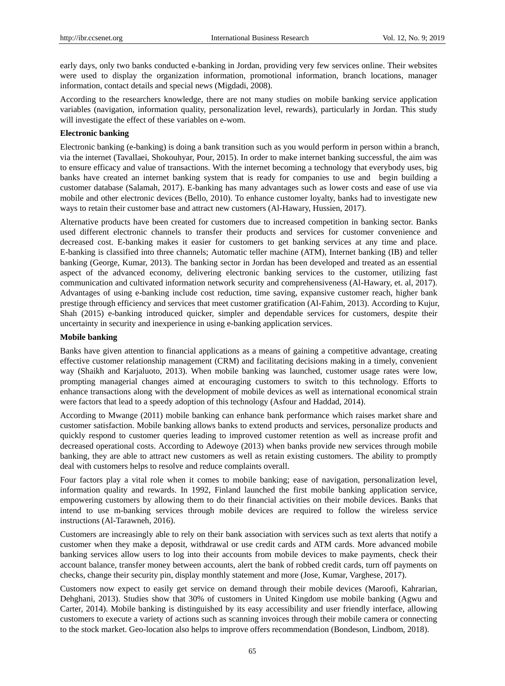early days, only two banks conducted e-banking in Jordan, providing very few services online. Their websites were used to display the organization information, promotional information, branch locations, manager information, contact details and special news (Migdadi, 2008).

According to the researchers knowledge, there are not many studies on mobile banking service application variables (navigation, information quality, personalization level, rewards), particularly in Jordan. This study will investigate the effect of these variables on e-wom.

## **Electronic banking**

Electronic banking (e-banking) is doing a bank transition such as you would perform in person within a branch, via the internet (Tavallaei, Shokouhyar, Pour, 2015). In order to make internet banking successful, the aim was to ensure efficacy and value of transactions. With the internet becoming a technology that everybody uses, big banks have created an internet banking system that is ready for companies to use and begin building a customer database (Salamah, 2017). E-banking has many advantages such as lower costs and ease of use via mobile and other electronic devices (Bello, 2010). To enhance customer loyalty, banks had to investigate new ways to retain their customer base and attract new customers (Al-Hawary, Hussien, 2017).

Alternative products have been created for customers due to increased competition in banking sector. Banks used different electronic channels to transfer their products and services for customer convenience and decreased cost. E-banking makes it easier for customers to get banking services at any time and place. E-banking is classified into three channels; Automatic teller machine (ATM), Internet banking (IB) and teller banking (George, Kumar, 2013). The banking sector in Jordan has been developed and treated as an essential aspect of the advanced economy, delivering electronic banking services to the customer, utilizing fast communication and cultivated information network security and comprehensiveness (Al-Hawary, et. al, 2017). Advantages of using e-banking include cost reduction, time saving, expansive customer reach, higher bank prestige through efficiency and services that meet customer gratification (Al-Fahim, 2013). According to Kujur, Shah (2015) e-banking introduced quicker, simpler and dependable services for customers, despite their uncertainty in security and inexperience in using e-banking application services.

#### **Mobile banking**

Banks have given attention to financial applications as a means of gaining a competitive advantage, creating effective customer relationship management (CRM) and facilitating decisions making in a timely, convenient way (Shaikh and Karjaluoto, 2013). When mobile banking was launched, customer usage rates were low, prompting managerial changes aimed at encouraging customers to switch to this technology. Efforts to enhance transactions along with the development of mobile devices as well as international economical strain were factors that lead to a speedy adoption of this technology (Asfour and Haddad, 2014).

According to Mwange (2011) mobile banking can enhance bank performance which raises market share and customer satisfaction. Mobile banking allows banks to extend products and services, personalize products and quickly respond to customer queries leading to improved customer retention as well as increase profit and decreased operational costs. According to Adewoye (2013) when banks provide new services through mobile banking, they are able to attract new customers as well as retain existing customers. The ability to promptly deal with customers helps to resolve and reduce complaints overall.

Four factors play a vital role when it comes to mobile banking; ease of navigation, personalization level, information quality and rewards. In 1992, Finland launched the first mobile banking application service, empowering customers by allowing them to do their financial activities on their mobile devices. Banks that intend to use m-banking services through mobile devices are required to follow the wireless service instructions (Al-Tarawneh, 2016).

Customers are increasingly able to rely on their bank association with services such as text alerts that notify a customer when they make a deposit, withdrawal or use credit cards and ATM cards. More advanced mobile banking services allow users to log into their accounts from mobile devices to make payments, check their account balance, transfer money between accounts, alert the bank of robbed credit cards, turn off payments on checks, change their security pin, display monthly statement and more (Jose, Kumar, Varghese, 2017).

Customers now expect to easily get service on demand through their mobile devices (Maroofi, Kahrarian, Dehghani, 2013). Studies show that 30% of customers in United Kingdom use mobile banking (Agwu and Carter, 2014). Mobile banking is distinguished by its easy accessibility and user friendly interface, allowing customers to execute a variety of actions such as scanning invoices through their mobile camera or connecting to the stock market. Geo-location also helps to improve offers recommendation (Bondeson, Lindbom, 2018).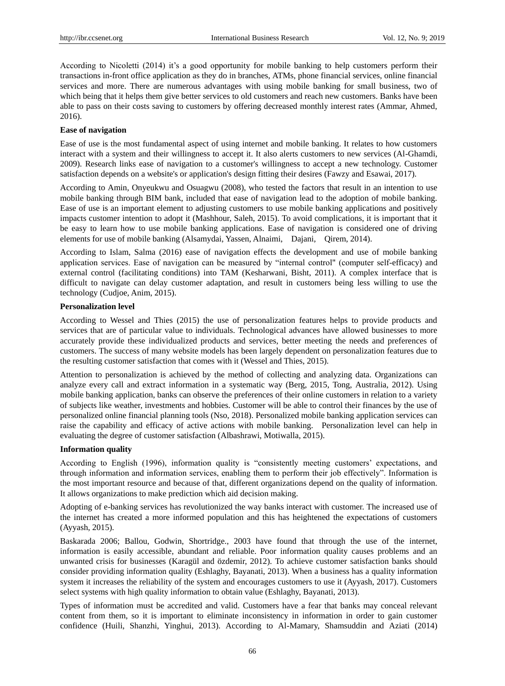According to Nicoletti (2014) it's a good opportunity for mobile banking to help customers perform their transactions in-front office application as they do in branches, ATMs, phone financial services, online financial services and more. There are numerous advantages with using mobile banking for small business, two of which being that it helps them give better services to old customers and reach new customers. Banks have been able to pass on their costs saving to customers by offering decreased monthly interest rates (Ammar, Ahmed, 2016).

#### **Ease of navigation**

Ease of use is the most fundamental aspect of using internet and mobile banking. It relates to how customers interact with a system and their willingness to accept it. It also alerts customers to new services (Al-Ghamdi, 2009). Research links ease of navigation to a customer's willingness to accept a new technology. Customer satisfaction depends on a website's or application's design fitting their desires (Fawzy and Esawai, 2017).

According to Amin, Onyeukwu and Osuagwu (2008), who tested the factors that result in an intention to use mobile banking through BIM bank, included that ease of navigation lead to the adoption of mobile banking. Ease of use is an important element to adjusting customers to use mobile banking applications and positively impacts customer intention to adopt it (Mashhour, Saleh, 2015). To avoid complications, it is important that it be easy to learn how to use mobile banking applications. Ease of navigation is considered one of driving elements for use of mobile banking (Alsamydai, Yassen, Alnaimi, Dajani, Qirem, 2014).

According to Islam, Salma (2016) ease of navigation effects the development and use of mobile banking application services. Ease of navigation can be measured by "internal control" (computer self-efficacy) and external control (facilitating conditions) into TAM (Kesharwani, Bisht, 2011). A complex interface that is difficult to navigate can delay customer adaptation, and result in customers being less willing to use the technology (Cudjoe, Anim, 2015).

#### **Personalization level**

According to Wessel and Thies (2015) the use of personalization features helps to provide products and services that are of particular value to individuals. Technological advances have allowed businesses to more accurately provide these individualized products and services, better meeting the needs and preferences of customers. The success of many website models has been largely dependent on personalization features due to the resulting customer satisfaction that comes with it (Wessel and Thies, 2015).

Attention to personalization is achieved by the method of collecting and analyzing data. Organizations can analyze every call and extract information in a systematic way (Berg, 2015, Tong, Australia, 2012). Using mobile banking application, banks can observe the preferences of their online customers in relation to a variety of subjects like weather, investments and hobbies. Customer will be able to control their finances by the use of personalized online financial planning tools (Nso, 2018). Personalized mobile banking application services can raise the capability and efficacy of active actions with mobile banking. Personalization level can help in evaluating the degree of customer satisfaction (Albashrawi, Motiwalla, 2015).

#### **Information quality**

According to English (1996), information quality is "consistently meeting customers' expectations, and through information and information services, enabling them to perform their job effectively". Information is the most important resource and because of that, different organizations depend on the quality of information. It allows organizations to make prediction which aid decision making.

Adopting of e-banking services has revolutionized the way banks interact with customer. The increased use of the internet has created a more informed population and this has heightened the expectations of customers (Ayyash, 2015).

Baskarada 2006; Ballou, Godwin, Shortridge., 2003 have found that through the use of the internet, information is easily accessible, abundant and reliable. Poor information quality causes problems and an unwanted crisis for businesses (Karagül and özdemir, 2012). To achieve customer satisfaction banks should consider providing information quality (Eshlaghy, Bayanati, 2013). When a business has a quality information system it increases the reliability of the system and encourages customers to use it (Ayyash, 2017). Customers select systems with high quality information to obtain value (Eshlaghy, Bayanati, 2013).

Types of information must be accredited and valid. Customers have a fear that banks may conceal relevant content from them, so it is important to eliminate inconsistency in information in order to gain customer confidence (Huili, Shanzhi, Yinghui, 2013). According to Al-Mamary, Shamsuddin and Aziati (2014)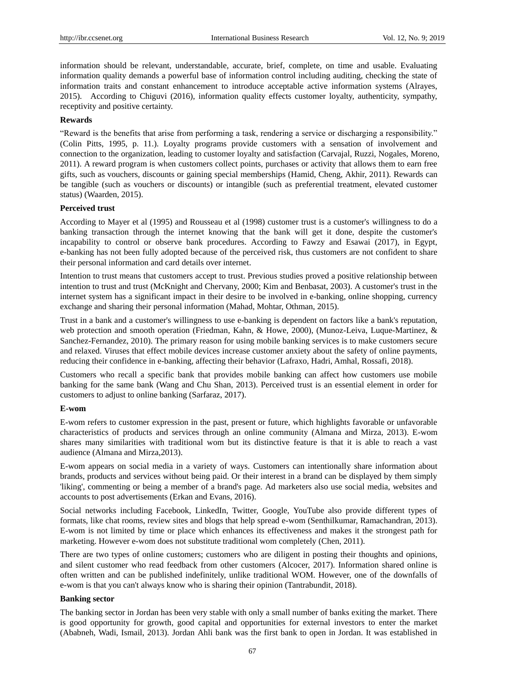information should be relevant, understandable, accurate, brief, complete, on time and usable. Evaluating information quality demands a powerful base of information control including auditing, checking the state of information traits and constant enhancement to introduce acceptable active information systems (Alrayes, 2015). According to Chiguvi (2016), information quality effects customer loyalty, authenticity, sympathy, receptivity and positive certainty.

#### **Rewards**

"Reward is the benefits that arise from performing a task, rendering a service or discharging a responsibility." (Colin Pitts, 1995, p. 11.). Loyalty programs provide customers with a sensation of involvement and connection to the organization, leading to customer loyalty and satisfaction (Carvajal, Ruzzi, Nogales, Moreno, 2011). A reward program is when customers collect points, purchases or activity that allows them to earn free gifts, such as vouchers, discounts or gaining special memberships (Hamid, Cheng, Akhir, 2011). Rewards can be tangible (such as vouchers or discounts) or intangible (such as preferential treatment, elevated customer status) (Waarden, 2015).

# **Perceived trust**

According to Mayer et al (1995) and Rousseau et al (1998) customer trust is a customer's willingness to do a banking transaction through the internet knowing that the bank will get it done, despite the customer's incapability to control or observe bank procedures. According to Fawzy and Esawai (2017), in Egypt, e-banking has not been fully adopted because of the perceived risk, thus customers are not confident to share their personal information and card details over internet.

Intention to trust means that customers accept to trust. Previous studies proved a positive relationship between intention to trust and trust (McKnight and Chervany, 2000; Kim and Benbasat, 2003). A customer's trust in the internet system has a significant impact in their desire to be involved in e-banking, online shopping, currency exchange and sharing their personal information (Mahad, Mohtar, Othman, 2015).

Trust in a bank and a customer's willingness to use e-banking is dependent on factors like a bank's reputation, web protection and smooth operation (Friedman, Kahn, & Howe, 2000), (Munoz-Leiva, Luque-Martinez, & Sanchez-Fernandez, 2010). The primary reason for using mobile banking services is to make customers secure and relaxed. Viruses that effect mobile devices increase customer anxiety about the safety of online payments, reducing their confidence in e-banking, affecting their behavior (Lafraxo, Hadri, Amhal, Rossafi, 2018).

Customers who recall a specific bank that provides mobile banking can affect how customers use mobile banking for the same bank (Wang and Chu Shan, 2013). Perceived trust is an essential element in order for customers to adjust to online banking (Sarfaraz, 2017).

#### **E-wom**

E-wom refers to customer expression in the past, present or future, which highlights favorable or unfavorable characteristics of products and services through an online community (Almana and Mirza, 2013). E-wom shares many similarities with traditional wom but its distinctive feature is that it is able to reach a vast audience (Almana and Mirza,2013).

E-wom appears on social media in a variety of ways. Customers can intentionally share information about brands, products and services without being paid. Or their interest in a brand can be displayed by them simply 'liking', commenting or being a member of a brand's page. Ad marketers also use social media, websites and accounts to post advertisements (Erkan and Evans, 2016).

Social networks including Facebook, LinkedIn, Twitter, Google, YouTube also provide different types of formats, like chat rooms, review sites and blogs that help spread e-wom (Senthilkumar, Ramachandran, 2013). E-wom is not limited by time or place which enhances its effectiveness and makes it the strongest path for marketing. However e-wom does not substitute traditional wom completely (Chen, 2011).

There are two types of online customers; customers who are diligent in posting their thoughts and opinions, and silent customer who read feedback from other customers (Alcocer, 2017). Information shared online is often written and can be published indefinitely, unlike traditional WOM. However, one of the downfalls of e-wom is that you can't always know who is sharing their opinion (Tantrabundit, 2018).

#### **Banking sector**

The banking sector in Jordan has been very stable with only a small number of banks exiting the market. There is good opportunity for growth, good capital and opportunities for external investors to enter the market (Ababneh, Wadi, Ismail, 2013). Jordan Ahli bank was the first bank to open in Jordan. It was established in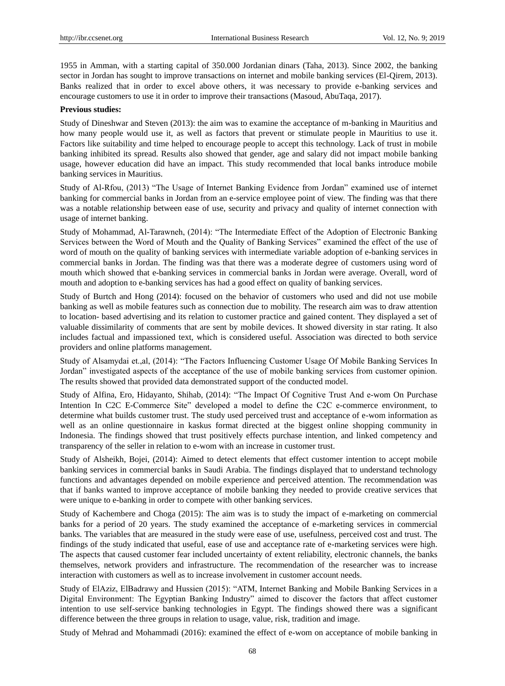1955 in Amman, with a starting capital of 350.000 Jordanian dinars (Taha, 2013). Since 2002, the banking sector in Jordan has sought to improve transactions on internet and mobile banking services (El-Qirem, 2013). Banks realized that in order to excel above others, it was necessary to provide e-banking services and encourage customers to use it in order to improve their transactions (Masoud, AbuTaqa, 2017).

#### **Previous studies:**

Study of Dineshwar and Steven (2013): the aim was to examine the acceptance of m-banking in Mauritius and how many people would use it, as well as factors that prevent or stimulate people in Mauritius to use it. Factors like suitability and time helped to encourage people to accept this technology. Lack of trust in mobile banking inhibited its spread. Results also showed that gender, age and salary did not impact mobile banking usage, however education did have an impact. This study recommended that local banks introduce mobile banking services in Mauritius.

Study of Al-Rfou, (2013) "The Usage of Internet Banking Evidence from Jordan" examined use of internet banking for commercial banks in Jordan from an e-service employee point of view. The finding was that there was a notable relationship between ease of use, security and privacy and quality of internet connection with usage of internet banking.

Study of Mohammad, Al-Tarawneh, (2014): "The Intermediate Effect of the Adoption of Electronic Banking Services between the Word of Mouth and the Quality of Banking Services" examined the effect of the use of word of mouth on the quality of banking services with intermediate variable adoption of e-banking services in commercial banks in Jordan. The finding was that there was a moderate degree of customers using word of mouth which showed that e-banking services in commercial banks in Jordan were average. Overall, word of mouth and adoption to e-banking services has had a good effect on quality of banking services.

Study of Burtch and Hong (2014): focused on the behavior of customers who used and did not use mobile banking as well as mobile features such as connection due to mobility. The research aim was to draw attention to location- based advertising and its relation to customer practice and gained content. They displayed a set of valuable dissimilarity of comments that are sent by mobile devices. It showed diversity in star rating. It also includes factual and impassioned text, which is considered useful. Association was directed to both service providers and online platforms management.

Study of Alsamydai et.,al, (2014): "The Factors Influencing Customer Usage Of Mobile Banking Services In Jordan" investigated aspects of the acceptance of the use of mobile banking services from customer opinion. The results showed that provided data demonstrated support of the conducted model.

Study of Alfina, Ero, Hidayanto, Shihab, (2014): "The Impact Of Cognitive Trust And e-wom On Purchase Intention In C2C E-Commerce Site" developed a model to define the C2C e-commerce environment, to determine what builds customer trust. The study used perceived trust and acceptance of e-wom information as well as an online questionnaire in kaskus format directed at the biggest online shopping community in Indonesia. The findings showed that trust positively effects purchase intention, and linked competency and transparency of the seller in relation to e-wom with an increase in customer trust.

Study of Alsheikh, Bojei, (2014): Aimed to detect elements that effect customer intention to accept mobile banking services in commercial banks in Saudi Arabia. The findings displayed that to understand technology functions and advantages depended on mobile experience and perceived attention. The recommendation was that if banks wanted to improve acceptance of mobile banking they needed to provide creative services that were unique to e-banking in order to compete with other banking services.

Study of Kachembere and Choga (2015): The aim was is to study the impact of e-marketing on commercial banks for a period of 20 years. The study examined the acceptance of e-marketing services in commercial banks. The variables that are measured in the study were ease of use, usefulness, perceived cost and trust. The findings of the study indicated that useful, ease of use and acceptance rate of e-marketing services were high. The aspects that caused customer fear included uncertainty of extent reliability, electronic channels, the banks themselves, network providers and infrastructure. The recommendation of the researcher was to increase interaction with customers as well as to increase involvement in customer account needs.

Study of ElAziz, ElBadrawy and Hussien (2015): "ATM, Internet Banking and Mobile Banking Services in a Digital Environment: The Egyptian Banking Industry" aimed to discover the factors that affect customer intention to use self-service banking technologies in Egypt. The findings showed there was a significant difference between the three groups in relation to usage, value, risk, tradition and image.

Study of Mehrad and Mohammadi (2016): examined the effect of e-wom on acceptance of mobile banking in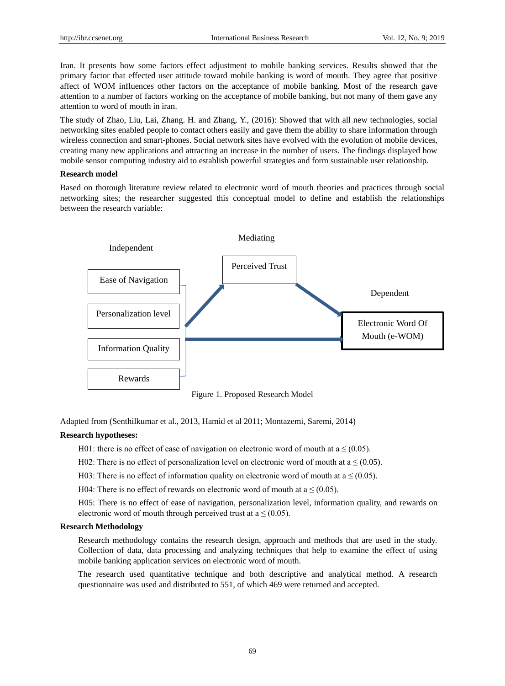Iran. It presents how some factors effect adjustment to mobile banking services. Results showed that the primary factor that effected user attitude toward mobile banking is word of mouth. They agree that positive affect of WOM influences other factors on the acceptance of mobile banking. Most of the research gave attention to a number of factors working on the acceptance of mobile banking, but not many of them gave any attention to word of mouth in iran.

The study of Zhao, Liu, Lai, Zhang. H. and Zhang, Y., (2016): Showed that with all new technologies, social networking sites enabled people to contact others easily and gave them the ability to share information through wireless connection and smart-phones. Social network sites have evolved with the evolution of mobile devices, creating many new applications and attracting an increase in the number of users. The findings displayed how mobile sensor computing industry aid to establish powerful strategies and form sustainable user relationship.

# **Research model**

Based on thorough literature review related to electronic word of mouth theories and practices through social networking sites; the researcher suggested this conceptual model to define and establish the relationships between the research variable:



Figure 1. Proposed Research Model

Adapted from (Senthilkumar et al., 2013, Hamid et al 2011; Montazemi, Saremi, 2014)

## **Research hypotheses:**

H01: there is no effect of ease of navigation on electronic word of mouth at  $a \leq (0.05)$ .

- H02: There is no effect of personalization level on electronic word of mouth at  $a \leq (0.05)$ .
- H03: There is no effect of information quality on electronic word of mouth at  $a \leq (0.05)$ .
- H04: There is no effect of rewards on electronic word of mouth at  $a \le (0.05)$ .

H05: There is no effect of ease of navigation, personalization level, information quality, and rewards on electronic word of mouth through perceived trust at  $a \leq (0.05)$ .

#### **Research Methodology**

Research methodology contains the research design, approach and methods that are used in the study. Collection of data, data processing and analyzing techniques that help to examine the effect of using mobile banking application services on electronic word of mouth.

The research used quantitative technique and both descriptive and analytical method. A research questionnaire was used and distributed to 551, of which 469 were returned and accepted.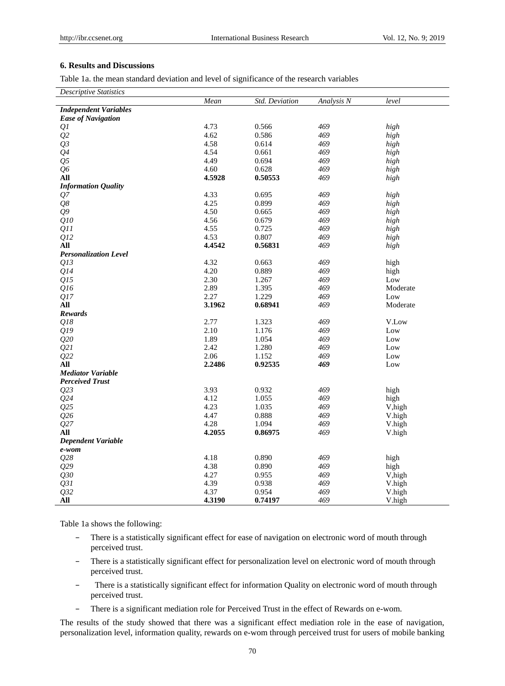# **6. Results and Discussions**

Table 1a. the mean standard deviation and level of significance of the research variables

*Descriptive Statistics*

|                              | Mean   | Std. Deviation | Analysis N | level    |
|------------------------------|--------|----------------|------------|----------|
| <b>Independent Variables</b> |        |                |            |          |
| <b>Ease of Navigation</b>    |        |                |            |          |
| Q <sub>I</sub>               | 4.73   | 0.566          | 469        | high     |
| Q2                           | 4.62   | 0.586          | 469        | high     |
| Q3                           | 4.58   | 0.614          | 469        | high     |
| Q <sub>4</sub>               | 4.54   | 0.661          | 469        | high     |
| Q <sub>5</sub>               | 4.49   | 0.694          | 469        | high     |
| Q <sub>0</sub>               | 4.60   | 0.628          | 469        | high     |
| All                          | 4.5928 | 0.50553        | 469        | high     |
| <b>Information Quality</b>   |        |                |            |          |
| Q7                           | 4.33   | 0.695          | 469        | high     |
| Q8                           | 4.25   | 0.899          | 469        | high     |
| $Q^{\prime\prime}$           | 4.50   | 0.665          | 469        | high     |
| Q10                          | 4.56   | 0.679          | 469        | high     |
| QII                          | 4.55   | 0.725          | 469        | high     |
| Q12                          | 4.53   | 0.807          | 469        | high     |
| All                          | 4.4542 | 0.56831        | 469        | high     |
| <b>Personalization Level</b> |        |                |            |          |
| Q13                          | 4.32   | 0.663          | 469        | high     |
| Q14                          | 4.20   | 0.889          | 469        | high     |
| Q15                          | 2.30   | 1.267          | 469        | Low      |
| Q16                          | 2.89   | 1.395          | 469        | Moderate |
| Q17                          | 2.27   | 1.229          | 469        | Low      |
| All                          | 3.1962 | 0.68941        | 469        | Moderate |
| <b>Rewards</b>               |        |                |            |          |
| Q18                          | 2.77   | 1.323          | 469        | V.Low    |
| Q19                          | 2.10   | 1.176          | 469        | Low      |
| Q20                          | 1.89   | 1.054          | 469        | Low      |
| Q21                          | 2.42   | 1.280          | 469        | Low      |
| Q22                          | 2.06   | 1.152          | 469        | Low      |
| All                          | 2.2486 | 0.92535        | 469        | Low      |
| <b>Mediator Variable</b>     |        |                |            |          |
| <b>Perceived Trust</b>       |        |                |            |          |
| Q23                          | 3.93   | 0.932          | 469        | high     |
| Q24                          | 4.12   | 1.055          | 469        | high     |
| Q25                          | 4.23   | 1.035          | 469        | V, high  |
| Q26                          | 4.47   | 0.888          | 469        | V.high   |
| Q27                          | 4.28   | 1.094          | 469        | V.high   |
| All                          | 4.2055 | 0.86975        | 469        | V.high   |
| <b>Dependent Variable</b>    |        |                |            |          |
| e-wom                        |        |                |            |          |
| Q28                          | 4.18   | 0.890          | 469        | high     |
| Q29                          | 4.38   | 0.890          | 469        | high     |
| Q30                          | 4.27   | 0.955          | 469        | V, high  |
| Q31                          | 4.39   | 0.938          | 469        | V.high   |
| Q32                          | 4.37   | 0.954          | 469        | V.high   |
| All                          | 4.3190 | 0.74197        | 469        | V.high   |

Table 1a shows the following:

- − There is a statistically significant effect for ease of navigation on electronic word of mouth through perceived trust.
- − There is a statistically significant effect for personalization level on electronic word of mouth through perceived trust.
- There is a statistically significant effect for information Quality on electronic word of mouth through perceived trust.
- − There is a significant mediation role for Perceived Trust in the effect of Rewards on e-wom.

The results of the study showed that there was a significant effect mediation role in the ease of navigation, personalization level, information quality, rewards on e-wom through perceived trust for users of mobile banking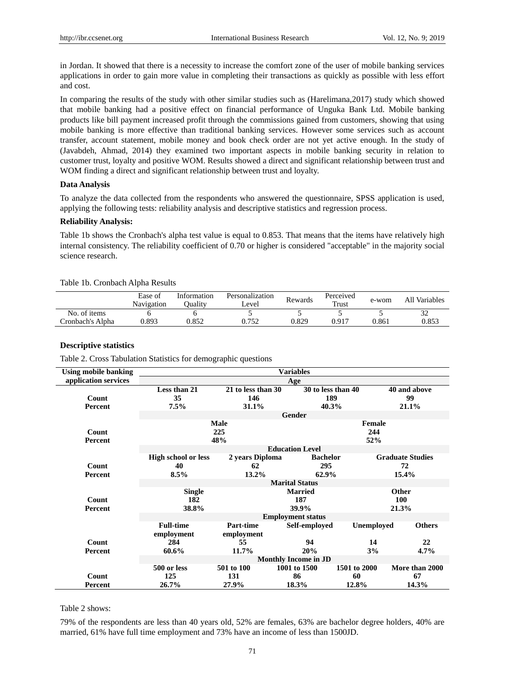in Jordan. It showed that there is a necessity to increase the comfort zone of the user of mobile banking services applications in order to gain more value in completing their transactions as quickly as possible with less effort and cost.

In comparing the results of the study with other similar studies such as (Harelimana,2017) study which showed that mobile banking had a positive effect on financial performance of Unguka Bank Ltd. Mobile banking products like bill payment increased profit through the commissions gained from customers, showing that using mobile banking is more effective than traditional banking services. However some services such as account transfer, account statement, mobile money and book check order are not yet active enough. In the study of (Javabdeh, Ahmad, 2014) they examined two important aspects in mobile banking security in relation to customer trust, loyalty and positive WOM. Results showed a direct and significant relationship between trust and WOM finding a direct and significant relationship between trust and loyalty.

## **Data Analysis**

To analyze the data collected from the respondents who answered the questionnaire, SPSS application is used, applying the following tests: reliability analysis and descriptive statistics and regression process.

#### **Reliability Analysis:**

Table 1b shows the Cronbach's alpha test value is equal to 0.853. That means that the items have relatively high internal consistency. The reliability coefficient of 0.70 or higher is considered "acceptable" in the majority social science research.

|  | Table 1b. Cronbach Alpha Results |  |  |
|--|----------------------------------|--|--|
|--|----------------------------------|--|--|

|                   | Ease of<br>Navigation | Information<br><b>Duality</b> | Personalization<br>Level | Rewards | Perceived<br>Trust | e-wom | All Variables |
|-------------------|-----------------------|-------------------------------|--------------------------|---------|--------------------|-------|---------------|
| No. of items      |                       |                               |                          |         |                    |       | 32            |
| Cronbach's Alpha- | 0.893                 | 0.852                         | 0.752                    | 0.829   | 0.917              | 0.861 | 0.853         |

## **Descriptive statistics**

Table 2. Cross Tabulation Statistics for demographic questions

| <b>Using mobile banking</b> | <b>Variables</b>                 |                                    |                                    |                      |                               |  |  |
|-----------------------------|----------------------------------|------------------------------------|------------------------------------|----------------------|-------------------------------|--|--|
| application services        | Age                              |                                    |                                    |                      |                               |  |  |
| Count<br>Percent            | Less than 21<br>35<br>7.5%       | 21 to less than 30<br>146<br>31.1% | 30 to less than 40<br>189<br>40.3% |                      | 40 and above<br>99<br>21.1%   |  |  |
|                             |                                  |                                    | Gender                             |                      |                               |  |  |
| Count<br><b>Percent</b>     |                                  | <b>Male</b><br>225<br>48%          |                                    | Female<br>244<br>52% |                               |  |  |
|                             |                                  | <b>Education Level</b>             |                                    |                      |                               |  |  |
| Count                       | <b>High school or less</b><br>40 | 2 years Diploma<br>62              | <b>Bachelor</b><br>295             |                      | <b>Graduate Studies</b><br>72 |  |  |
| Percent                     | 8.5%                             | 13.2%                              | 62.9%                              |                      | 15.4%                         |  |  |
|                             | <b>Marital Status</b>            |                                    |                                    |                      |                               |  |  |
| Count<br><b>Percent</b>     | <b>Single</b><br>182<br>38.8%    |                                    | <b>Married</b><br>187<br>39.9%     |                      | Other<br>100<br>21.3%         |  |  |
|                             |                                  |                                    | <b>Employment status</b>           |                      |                               |  |  |
|                             | <b>Full-time</b><br>employment   | Part-time<br>employment            | Self-emploved                      | <b>Unemployed</b>    | <b>Others</b>                 |  |  |
| Count                       | 284                              | 55                                 | 94                                 | 14                   | 22                            |  |  |
| Percent                     | 60.6%                            | 11.7%                              | 20%                                | 3%                   | 4.7%                          |  |  |
|                             |                                  |                                    | <b>Monthly Income in JD</b>        |                      |                               |  |  |
|                             | 500 or less                      | 501 to 100                         | 1001 to 1500                       | 1501 to 2000         | More than 2000                |  |  |
| Count<br>Percent            | 125<br>26.7%                     | 131<br>27.9%                       | 86<br>18.3%                        | 60<br>12.8%          | 67<br>14.3%                   |  |  |

## Table 2 shows:

79% of the respondents are less than 40 years old, 52% are females, 63% are bachelor degree holders, 40% are married, 61% have full time employment and 73% have an income of less than 1500JD.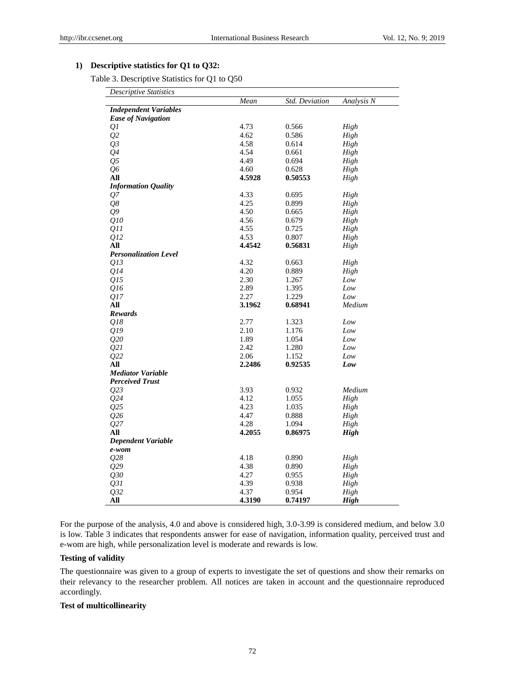# **1) Descriptive statistics for Q1 to Q32:**

Table 3. Descriptive Statistics for Q1 to Q50

| <b>Descriptive Statistics</b> |        |                |             |
|-------------------------------|--------|----------------|-------------|
|                               | Mean   | Std. Deviation | Analysis N  |
| <b>Independent Variables</b>  |        |                |             |
| <b>Ease of Navigation</b>     |        |                |             |
| Q1                            | 4.73   | 0.566          | High        |
| Q <sub>2</sub>                | 4.62   | 0.586          | High        |
| Q <sub>3</sub>                | 4.58   | 0.614          | High        |
| Q <sub>4</sub>                | 4.54   | 0.661          | High        |
| Q <sub>5</sub>                | 4.49   | 0.694          | High        |
| Q6                            | 4.60   | 0.628          | High        |
| All                           | 4.5928 | 0.50553        | High        |
| <b>Information Quality</b>    |        |                |             |
| Q7                            | 4.33   | 0.695          | High        |
| Q8                            | 4.25   | 0.899          | High        |
| $Q^{\prime\prime}$            | 4.50   | 0.665          | High        |
| Q10                           | 4.56   | 0.679          | High        |
| 011                           | 4.55   | 0.725          | High        |
| Q12                           | 4.53   | 0.807          | High        |
| All                           | 4.4542 | 0.56831        | High        |
| <b>Personalization Level</b>  |        |                |             |
| 013                           | 4.32   | 0.663          | High        |
| Q14                           | 4.20   | 0.889          | High        |
| Q15                           | 2.30   | 1.267          | Low         |
| Q16                           | 2.89   | 1.395          | Low         |
| Q17                           | 2.27   | 1.229          | Low         |
| All                           | 3.1962 | 0.68941        | Medium      |
| <b>Rewards</b>                |        |                |             |
| 018                           | 2.77   | 1.323          | Low         |
| Q19                           | 2.10   | 1.176          | Low         |
| 020                           | 1.89   | 1.054          | Low         |
| Q21                           | 2.42   | 1.280          | Low         |
| Q22                           | 2.06   | 1.152          | Low         |
| All                           | 2.2486 | 0.92535        | Low         |
| <b>Mediator Variable</b>      |        |                |             |
| <b>Perceived Trust</b>        |        |                |             |
| Q23                           | 3.93   | 0.932          | Medium      |
| Q24                           | 4.12   | 1.055          | High        |
| Q25                           | 4.23   | 1.035          | High        |
| Q26                           | 4.47   | 0.888          | High        |
| Q27                           | 4.28   | 1.094          | High        |
| All                           | 4.2055 | 0.86975        | <b>High</b> |
| <b>Dependent Variable</b>     |        |                |             |
| e-wom                         |        |                |             |
| Q28                           | 4.18   | 0.890          | High        |
| Q29                           | 4.38   | 0.890          | High        |
| Q30                           | 4.27   | 0.955          | High        |
| 031                           | 4.39   | 0.938          | High        |
| Q32                           | 4.37   | 0.954          | High        |
| All                           | 4.3190 | 0.74197        | <b>High</b> |

For the purpose of the analysis, 4.0 and above is considered high, 3.0-3.99 is considered medium, and below 3.0 is low. Table 3 indicates that respondents answer for ease of navigation, information quality, perceived trust and e-wom are high, while personalization level is moderate and rewards is low.

# **Testing of validity**

The questionnaire was given to a group of experts to investigate the set of questions and show their remarks on their relevancy to the researcher problem. All notices are taken in account and the questionnaire reproduced accordingly.

## **Test of multicollinearity**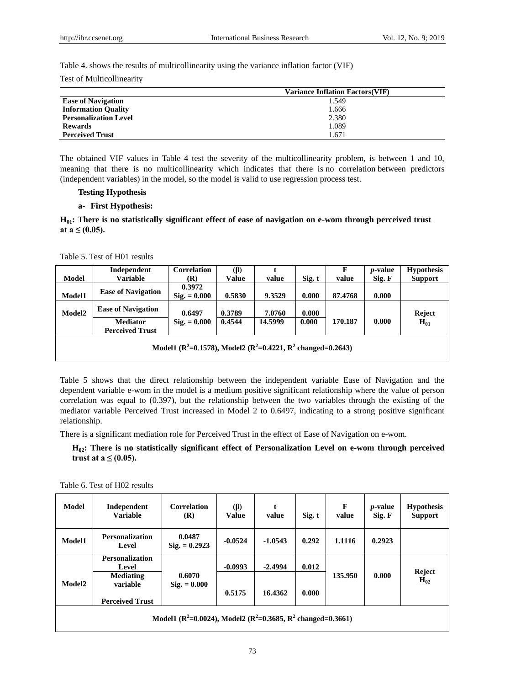Table 4. shows the results of multicollinearity using the variance inflation factor (VIF)

Test of Multicollinearity

|                              | <b>Variance Inflation Factors (VIF)</b> |
|------------------------------|-----------------------------------------|
| <b>Ease of Navigation</b>    | 1.549                                   |
| <b>Information Quality</b>   | 1.666                                   |
| <b>Personalization Level</b> | 2.380                                   |
| <b>Rewards</b>               | 1.089                                   |
| <b>Perceived Trust</b>       | 1.671                                   |

The obtained VIF values in Table 4 test the severity of the multicollinearity problem, is between 1 and 10, meaning that there is no multicollinearity which indicates that there is no [correlation](https://www.statisticshowto.datasciencecentral.com/probability-and-statistics/correlation-analysis/) between predictors [\(independent variables\)](https://www.statisticshowto.datasciencecentral.com/independent-variable-definition/) in the model, so the model is valid to use regression process test.

# **Testing Hypothesis**

## **a- First Hypothesis:**

# **H01: There is no statistically significant effect of ease of navigation on e-wom through perceived trust**  at  $a \le (0.05)$ .

Table 5. Test of H01 results

|                                                                        | Independent                               | <b>Correlation</b>              | (B)    |         |        |         | <i>p</i> -value | <b>Hypothesis</b> |
|------------------------------------------------------------------------|-------------------------------------------|---------------------------------|--------|---------|--------|---------|-----------------|-------------------|
| Model                                                                  | <b>Variable</b>                           | (R)                             | Value  | value   | Sig. t | value   | Sig. F          | <b>Support</b>    |
| Model1                                                                 | <b>Ease of Navigation</b>                 | 0.3972<br>$\text{Sig.} = 0.000$ | 0.5830 | 9.3529  | 0.000  | 87.4768 | 0.000           |                   |
| Model2                                                                 | <b>Ease of Navigation</b>                 | 0.6497                          | 0.3789 | 7.0760  | 0.000  |         |                 | Reject            |
|                                                                        | <b>Mediator</b><br><b>Perceived Trust</b> | $Sig. = 0.000$                  | 0.4544 | 14.5999 | 0.000  | 170.187 | 0.000           | $H_{01}$          |
| Model1 ( $R^2$ =0.1578), Model2 ( $R^2$ =0.4221, $R^2$ changed=0.2643) |                                           |                                 |        |         |        |         |                 |                   |

Table 5 shows that the direct relationship between the independent variable Ease of Navigation and the dependent variable e-wom in the model is a medium positive significant relationship where the value of person correlation was equal to (0.397), but the relationship between the two variables through the existing of the mediator variable Perceived Trust increased in Model 2 to 0.6497, indicating to a strong positive significant relationship.

There is a significant mediation role for Perceived Trust in the effect of Ease of Navigation on e-wom.

**H02: There is no statistically significant effect of Personalization Level on e-wom through perceived trust at a**  $\leq$  (0.05).

Table 6. Test of H02 results

| Model                                                                                             | Independent<br><b>Variable</b>                                                            | <b>Correlation</b><br>(R)       | (B)<br><b>Value</b> | t<br>value           | Sig. t         | F<br>value | <i>p</i> -value<br>Sig. F | <b>Hypothesis</b><br><b>Support</b> |
|---------------------------------------------------------------------------------------------------|-------------------------------------------------------------------------------------------|---------------------------------|---------------------|----------------------|----------------|------------|---------------------------|-------------------------------------|
| Model1                                                                                            | <b>Personalization</b><br>Level                                                           | 0.0487<br>$Sig. = 0.2923$       | $-0.0524$           | $-1.0543$            | 0.292          | 1.1116     | 0.2923                    |                                     |
| Model <sub>2</sub>                                                                                | <b>Personalization</b><br>Level<br><b>Mediating</b><br>variable<br><b>Perceived Trust</b> | 0.6070<br>$\text{Sig.} = 0.000$ | $-0.0993$<br>0.5175 | $-2.4994$<br>16.4362 | 0.012<br>0.000 | 135.950    | 0.000                     | Reject<br>$H_{02}$                  |
| Model1 ( $\mathbb{R}^2$ =0.0024), Model2 ( $\mathbb{R}^2$ =0.3685, $\mathbb{R}^2$ changed=0.3661) |                                                                                           |                                 |                     |                      |                |            |                           |                                     |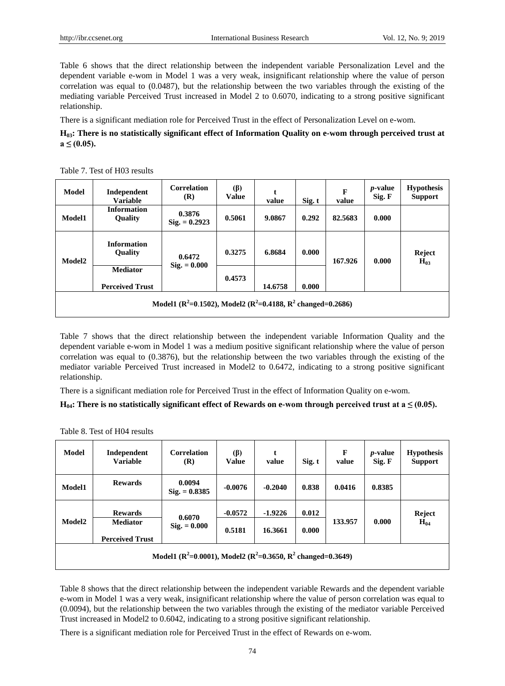Table 6 shows that the direct relationship between the independent variable Personalization Level and the dependent variable e-wom in Model 1 was a very weak, insignificant relationship where the value of person correlation was equal to (0.0487), but the relationship between the two variables through the existing of the mediating variable Perceived Trust increased in Model 2 to 0.6070, indicating to a strong positive significant relationship.

There is a significant mediation role for Perceived Trust in the effect of Personalization Level on e-wom.

# **H03: There is no statistically significant effect of Information Quality on e-wom through perceived trust at a ≤ (0.05).**

Table 7. Test of H03 results

| <b>Model</b>                                                           | Independent<br><b>Variable</b>            | <b>Correlation</b><br>(R) | $(\beta)$<br><b>Value</b> | t<br>value | Sig. t | $\mathbf{F}$<br>value | <i>p</i> -value<br>Sig. F | <b>Hypothesis</b><br><b>Support</b> |
|------------------------------------------------------------------------|-------------------------------------------|---------------------------|---------------------------|------------|--------|-----------------------|---------------------------|-------------------------------------|
| Model1                                                                 | <b>Information</b><br><b>Quality</b>      | 0.3876<br>$Sig. = 0.2923$ | 0.5061                    | 9.0867     | 0.292  | 82.5683               | 0.000                     |                                     |
| Model <sub>2</sub>                                                     | <b>Information</b><br><b>Quality</b>      | 0.6472                    | 0.3275                    | 6.8684     | 0.000  | 167.926               | 0.000                     | Reject<br>$H_{03}$                  |
|                                                                        | <b>Mediator</b><br><b>Perceived Trust</b> | $\text{Sig.} = 0.000$     | 0.4573                    | 14.6758    | 0.000  |                       |                           |                                     |
| Model1 ( $R^2$ =0.1502), Model2 ( $R^2$ =0.4188, $R^2$ changed=0.2686) |                                           |                           |                           |            |        |                       |                           |                                     |

Table 7 shows that the direct relationship between the independent variable Information Quality and the dependent variable e-wom in Model 1 was a medium positive significant relationship where the value of person correlation was equal to (0.3876), but the relationship between the two variables through the existing of the mediator variable Perceived Trust increased in Model2 to 0.6472, indicating to a strong positive significant relationship.

There is a significant mediation role for Perceived Trust in the effect of Information Quality on e-wom.

# $H_{04}$ : There is no statistically significant effect of Rewards on e-wom through perceived trust at a  $\leq$  (0.05).

| Model                                                                  | Independent<br><b>Variable</b>    | <b>Correlation</b><br>(R)       | (B)<br>Value | t<br>value | Sig. t | $\mathbf{F}$<br>value | <i>p</i> -value<br>Sig. F | <b>Hypothesis</b><br><b>Support</b> |
|------------------------------------------------------------------------|-----------------------------------|---------------------------------|--------------|------------|--------|-----------------------|---------------------------|-------------------------------------|
| <b>Model1</b>                                                          | <b>Rewards</b>                    | 0.0094<br>$Sig. = 0.8385$       | $-0.0076$    | $-0.2040$  | 0.838  | 0.0416                | 0.8385                    |                                     |
| Model <sub>2</sub>                                                     | <b>Rewards</b><br><b>Mediator</b> | 0.6070<br>$\text{Sig.} = 0.000$ | $-0.0572$    | $-1.9226$  | 0.012  | 133.957               | 0.000                     | Reject<br>$H_{04}$                  |
|                                                                        | <b>Perceived Trust</b>            |                                 | 0.5181       | 16.3661    | 0.000  |                       |                           |                                     |
| Model1 ( $R^2$ =0.0001), Model2 ( $R^2$ =0.3650, $R^2$ changed=0.3649) |                                   |                                 |              |            |        |                       |                           |                                     |

Table 8. Test of H04 results

Table 8 shows that the direct relationship between the independent variable Rewards and the dependent variable e-wom in Model 1 was a very weak, insignificant relationship where the value of person correlation was equal to (0.0094), but the relationship between the two variables through the existing of the mediator variable Perceived Trust increased in Model2 to 0.6042, indicating to a strong positive significant relationship.

There is a significant mediation role for Perceived Trust in the effect of Rewards on e-wom.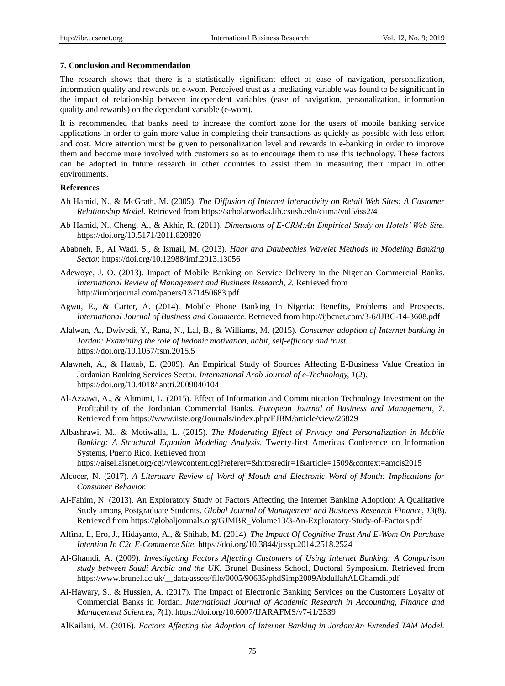#### **7. Conclusion and Recommendation**

The research shows that there is a statistically significant effect of ease of navigation, personalization, information quality and rewards on e-wom. Perceived trust as a mediating variable was found to be significant in the impact of relationship between independent variables (ease of navigation, personalization, information quality and rewards) on the dependant variable (e-wom).

It is recommended that banks need to increase the comfort zone for the users of mobile banking service applications in order to gain more value in completing their transactions as quickly as possible with less effort and cost. More attention must be given to personalization level and rewards in e-banking in order to improve them and become more involved with customers so as to encourage them to use this technology. These factors can be adopted in future research in other countries to assist them in measuring their impact in other environments.

## **References**

- Ab Hamid, N., & McGrath, M. (2005). *The Diffusion of Internet Interactivity on Retail Web Sites: A Customer Relationship Model.* Retrieved from https://scholarworks.lib.csusb.edu/ciima/vol5/iss2/4
- Ab Hamid, N., Cheng, A., & Akhir, R. (2011). *Dimensions of E-CRM:An Empirical Study on Hotels' Web Site.*  https://doi.org/10.5171/2011.820820
- Ababneh, F., Al Wadi, S., & Ismail, M. (2013). *Haar and Daubechies Wavelet Methods in Modeling Banking Sector.* https://doi.org/10.12988/imf.2013.13056
- Adewoye, J. O. (2013). Impact of Mobile Banking on Service Delivery in the Nigerian Commercial Banks. *International Review of Management and Business Research, 2.* Retrieved from <http://irmbrjournal.com/papers/1371450683.pdf>
- Agwu, E., & Carter, A. (2014). Mobile Phone Banking In Nigeria: Benefits, Problems and Prospects. *International Journal of Business and Commerce.* Retrieved from<http://ijbcnet.com/3-6/IJBC-14-3608.pdf>
- Alalwan, A., Dwivedi, Y., Rana, N., Lal, B., & Williams, M. (2015). *Consumer adoption of Internet banking in Jordan: Examining the role of hedonic motivation, habit, self-efficacy and trust.*  https://doi.org/10.1057/fsm.2015.5
- Alawneh, A., & Hattab, E. (2009). An Empirical Study of Sources Affecting E-Business Value Creation in Jordanian Banking Services Sector. *International Arab Journal of e-Technology, 1*(2). <https://doi.org/10.4018/jantti.2009040104>
- Al-Azzawi, A., & Altmimi, L. (2015). Effect of Information and Communication Technology Investment on the Profitability of the Jordanian Commercial Banks. *European Journal of Business and Management, 7.*  Retrieved from<https://www.iiste.org/Journals/index.php/EJBM/article/view/26829>
- Albashrawi, M., & Motiwalla, L. (2015). *The Moderating Effect of Privacy and Personalization in Mobile Banking: A Structural Equation Modeling Analysis.* Twenty-first Americas Conference on Information Systems, Puerto Rico. Retrieved from
	- <https://aisel.aisnet.org/cgi/viewcontent.cgi?referer=&httpsredir=1&article=1509&context=amcis2015>
- Alcocer, N. (2017). *A Literature Review of Word of Mouth and Electronic Word of Mouth: Implications for Consumer Behavior.*
- Al-Fahim, N. (2013). An Exploratory Study of Factors Affecting the Internet Banking Adoption: A Qualitative Study among Postgraduate Students. *Global Journal of Management and Business Research Finance, 13*(8). Retrieved from [https://globaljournals.org/GJMBR\\_Volume13/3-An-Exploratory-Study-of-Factors.pdf](https://globaljournals.org/GJMBR_Volume13/3-An-Exploratory-Study-of-Factors.pdf)
- Alfina, I., Ero, J., Hidayanto, A., & Shihab, M. (2014). *The Impact Of Cognitive Trust And E-Wom On Purchase Intention In C2c E-Commerce Site.* https://doi.org/10.3844/jcssp.2014.2518.2524
- Al-Ghamdi, A. (2009)*. Investigating Factors Affecting Customers of Using Internet Banking: A Comparison study between Saudi Arabia and the UK.* Brunel Business School, Doctoral Symposium. Retrieved from [https://www.brunel.ac.uk/\\_\\_data/assets/file/0005/90635/phdSimp2009AbdullahALGhamdi.pdf](https://www.brunel.ac.uk/__data/assets/file/0005/90635/phdSimp2009AbdullahALGhamdi.pdf)
- Al-Hawary, S., & Hussien, A. (2017). The Impact of Electronic Banking Services on the Customers Loyalty of Commercial Banks in Jordan. *International Journal of Academic Research in Accounting, Finance and Management Sciences, 7*(1). https://doi.org/10.6007/IJARAFMS/v7-i1/2539
- AlKailani, M. (2016). *Factors Affecting the Adoption of Internet Banking in Jordan:An Extended TAM Model.*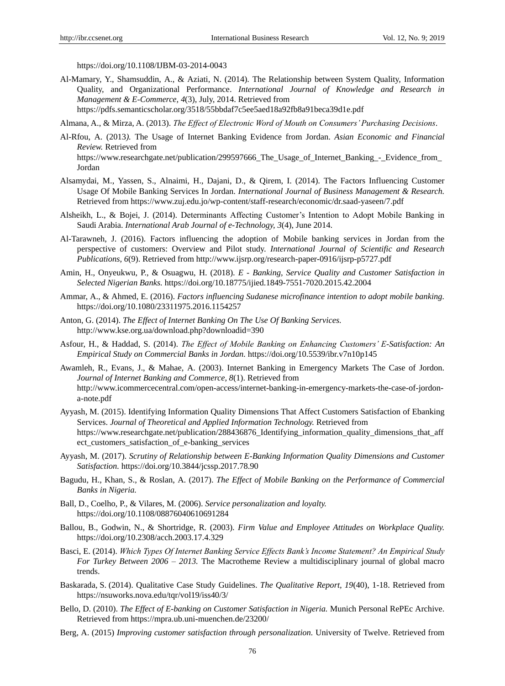<https://doi.org/10.1108/IJBM-03-2014-0043>

Al-Mamary, Y., Shamsuddin, A., & Aziati, N. (2014). The Relationship between System Quality, Information Quality, and Organizational Performance. *International Journal of Knowledge and Research in Management & E-Commerce, 4*(3), July, 2014. Retrieved from <https://pdfs.semanticscholar.org/3518/55bbdaf7c5ee5aed18a92fb8a91beca39d1e.pdf>

Al-Rfou, A. (2013*).* The Usage of Internet Banking Evidence from Jordan. *Asian Economic and Financial Review.* Retrieved from [https://www.researchgate.net/publication/299597666\\_The\\_Usage\\_of\\_Internet\\_Banking\\_-\\_Evidence\\_from\\_](https://www.researchgate.net/publication/299597666_The_Usage_of_Internet_Banking_-_Evidence_from_Jordan) [Jordan](https://www.researchgate.net/publication/299597666_The_Usage_of_Internet_Banking_-_Evidence_from_Jordan)

Almana, A., & Mirza, A. (2013). *The Effect of Electronic Word of Mouth on Consumers' Purchasing Decisions*.

- Alsamydai, M., Yassen, S., Alnaimi, H., Dajani, D., & Qirem, I. (2014). The Factors Influencing Customer Usage Of Mobile Banking Services In Jordan. *International Journal of Business Management & Research.*  Retrieved from<https://www.zuj.edu.jo/wp-content/staff-research/economic/dr.saad-yaseen/7.pdf>
- Alsheikh, L., & Bojei, J. (2014). Determinants Affecting Customer's Intention to Adopt Mobile Banking in Saudi Arabia. *International Arab Journal of e-Technology, 3*(4), June 2014.
- Al-Tarawneh, J. (2016). Factors influencing the adoption of Mobile banking services in Jordan from the perspective of customers: Overview and Pilot study. *International Journal of Scientific and Research Publications, 6*(9). Retrieved fro[m http://www.ijsrp.org/research-paper-0916/ijsrp-p5727.pdf](http://www.ijsrp.org/research-paper-0916/ijsrp-p5727.pdf)
- Amin, H., Onyeukwu, P., & Osuagwu, H. (2018). *E - Banking, Service Quality and Customer Satisfaction in Selected Nigerian Banks.* https://doi.org/10.18775/ijied.1849-7551-7020.2015.42.2004
- Ammar, A., & Ahmed, E. (2016). *Factors influencing Sudanese microfinance intention to adopt mobile banking.*  https://doi.org/10.1080/23311975.2016.1154257
- Anton, G. (2014). *The Effect of Internet Banking On The Use Of Banking Services.*  http://www.kse.org.ua/download.php?downloadid=390
- Asfour, H., & Haddad, S. (2014). *The Effect of Mobile Banking on Enhancing Customers' E-Satisfaction: An Empirical Study on Commercial Banks in Jordan.* https://doi.org/10.5539/ibr.v7n10p145
- [Awamleh,](https://www.researchgate.net/scientific-contributions/2141645290_Dr_Raed_Awamleh) R., [Evans,](https://www.researchgate.net/scientific-contributions/32035662_Prof_John_Evans) J., & [Mahae,](https://www.researchgate.net/profile/Ashraf_Mahate3) A. (2003). Internet Banking in Emergency Markets The Case of Jordon. *Journal of Internet Banking and [Commerce,](https://www.researchgate.net/journal/1204-5357_Journal_of_Internet_Banking_and_Commerce) 8*(1). Retrieved from [http://www.icommercecentral.com/open-access/internet-banking-in-emergency-markets-the-case-of-jordon](http://www.icommercecentral.com/open-access/internet-banking-in-emergency-markets-the-case-of-jordon-a-note.pdf)[a-note.pdf](http://www.icommercecentral.com/open-access/internet-banking-in-emergency-markets-the-case-of-jordon-a-note.pdf)
- Ayyash, M. (2015). Identifying Information Quality Dimensions That Affect Customers Satisfaction of Ebanking Services. *Journal of Theoretical and Applied Information Technology.* Retrieved from [https://www.researchgate.net/publication/288436876\\_Identifying\\_information\\_quality\\_dimensions\\_that\\_aff](https://www.researchgate.net/publication/288436876_Identifying_information_quality_dimensions_that_affect_customers_satisfaction_of_e-banking_services) [ect\\_customers\\_satisfaction\\_of\\_e-banking\\_services](https://www.researchgate.net/publication/288436876_Identifying_information_quality_dimensions_that_affect_customers_satisfaction_of_e-banking_services)
- Ayyash, M. (2017). *Scrutiny of Relationship between E-Banking Information Quality Dimensions and Customer Satisfaction.* https://doi.org/10.3844/jcssp.2017.78.90
- Bagudu, H., Khan, S., & Roslan, A. (2017). *The Effect of Mobile Banking on the Performance of Commercial Banks in Nigeria.*
- Ball, D., Coelho, P., & Vilares, M. (2006). *Service personalization and loyalty.*  <https://doi.org/10.1108/08876040610691284>
- [Ballou,](https://www.researchgate.net/scientific-contributions/2122491972_Brian_Ballou) B., [Godwin,](https://www.researchgate.net/scientific-contributions/8976810_Norman_H_Godwin) N., & [Shortridge,](https://www.researchgate.net/profile/Rebecca_Shortridge) R. (2003). *Firm Value and Employee Attitudes on Workplace Quality.*  https://doi.org/10.2308/acch.2003.17.4.329
- Basci, E. (2014). *Which Types Of Internet Banking Service Effects Bank's Income Statement? An Empirical Study For Turkey Between 2006 – 2013.* The Macrotheme Review a multidisciplinary journal of global macro trends.
- Baskarada, S. (2014). [Qualitative Case Study Guidelines.](https://papers.ssrn.com/sol3/Delivery.cfm/SSRN_ID2559424_code1865614.pdf?abstractid=2559424&mirid=1&type=2) *The Qualitative Report, 19*(40), 1-18. Retrieved from <https://nsuworks.nova.edu/tqr/vol19/iss40/3/>
- Bello, D. (2010). *The Effect of E-banking on Customer Satisfaction in Nigeria.* Munich Personal RePEc Archive. Retrieved from<https://mpra.ub.uni-muenchen.de/23200/>
- Berg, A. (2015) *Improving customer satisfaction through personalization.* University of Twelve. Retrieved from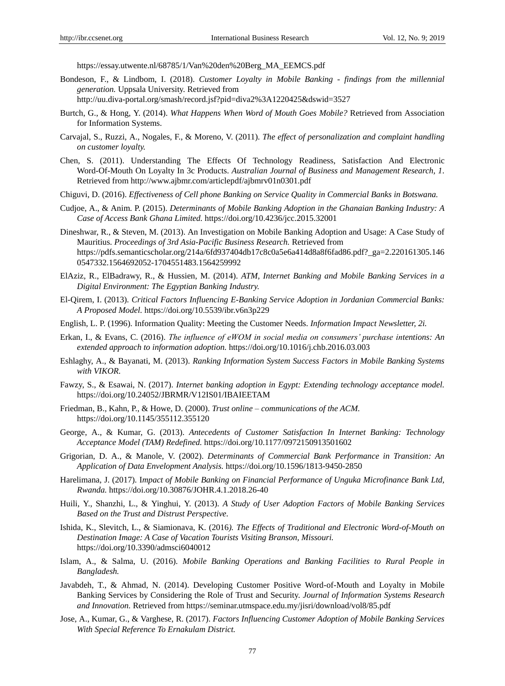[https://essay.utwente.nl/68785/1/Van%20den%20Berg\\_MA\\_EEMCS.pdf](https://essay.utwente.nl/68785/1/Van%20den%20Berg_MA_EEMCS.pdf)

- Bondeson, F., & Lindbom, I. (2018). *Customer Loyalty in Mobile Banking - findings from the millennial generation.* Uppsala University. Retrieved from
	- <http://uu.diva-portal.org/smash/record.jsf?pid=diva2%3A1220425&dswid=3527>
- Burtch, G., & Hong, Y. (2014). *What Happens When Word of Mouth Goes Mobile?* Retrieved from [Association](https://asu.pure.elsevier.com/en/publications/what-happens-when-word-of-mouth-goes-mobile)  [for Information Systems.](https://asu.pure.elsevier.com/en/publications/what-happens-when-word-of-mouth-goes-mobile)
- Carvajal, S., Ruzzi, A., Nogales, F., & Moreno, V. (2011). *The effect of personalization and complaint handling on customer loyalty.*
- Chen, S. (2011). Understanding The Effects Of Technology Readiness, Satisfaction And Electronic Word-Of-Mouth On Loyalty In 3c Products. *Australian Journal of Business and Management Research, 1.* Retrieved from<http://www.ajbmr.com/articlepdf/ajbmrv01n0301.pdf>
- Chiguvi, D. (2016). *Effectiveness of Cell phone Banking on Service Quality in Commercial Banks in Botswana.*
- Cudjoe, A., & Anim. P. (2015). *Determinants of Mobile Banking Adoption in the Ghanaian Banking Industry: A Case of Access Bank Ghana Limited.* https://doi.org/10.4236/jcc.2015.32001
- Dineshwar, R., & Steven, M. (2013). An Investigation on Mobile Banking Adoption and Usage: A Case Study of Mauritius. *Proceedings of 3rd Asia-Pacific Business Research.* Retrieved from [https://pdfs.semanticscholar.org/214a/6fd937404db17c8c0a5e6a414d8a8f6fad86.pdf?\\_ga=2.220161305.146](https://pdfs.semanticscholar.org/214a/6fd937404db17c8c0a5e6a414d8a8f6fad86.pdf?_ga=2.220161305.1460547332.1564692052-1704551483.1564259992) [0547332.1564692052-1704551483.1564259992](https://pdfs.semanticscholar.org/214a/6fd937404db17c8c0a5e6a414d8a8f6fad86.pdf?_ga=2.220161305.1460547332.1564692052-1704551483.1564259992)
- ElAziz, R., ElBadrawy, R., & Hussien, M. (2014). *ATM, Internet Banking and Mobile Banking Services in a Digital Environment: The Egyptian Banking Industry.*
- El-Qirem, I. (2013). *Critical Factors Influencing E-Banking Service Adoption in Jordanian Commercial Banks: A Proposed Model.* https://doi.org/10.5539/ibr.v6n3p229
- English, L. P. (1996). Information Quality: Meeting the Customer Needs. *Information Impact Newsletter, 2i.*
- Erkan, I., & Evans, C. (2016). *The influence of eWOM in social media on consumers' purchase intentions: An extended approach to information adoption.* <https://doi.org/10.1016/j.chb.2016.03.003>
- Eshlaghy, A., & Bayanati, M. (2013). *Ranking Information System Success Factors in Mobile Banking Systems with VIKOR.*
- Fawzy, S., & Esawai, N. (2017). *Internet banking adoption in Egypt: Extending technology acceptance model.*  <https://doi.org/10.24052/JBRMR/V12IS01/IBAIEETAM>
- Friedman, B., Kahn, P., & Howe, D. (2000). *Trust online – communications of the ACM.* https://doi.org/10.1145/355112.355120
- George, A., & Kumar, G. (2013). *Antecedents of Customer Satisfaction In Internet Banking: Technology Acceptance Model (TAM) Redefined.* [https://doi.org/10.1177/0972150913501602](https://doi.org/10.1177%2F0972150913501602)
- [Grigorian,](https://elibrary.worldbank.org/author/Grigorian%2C+David+A) D. A., [& Manole,](https://elibrary.worldbank.org/author/Manole%2C+Vlad) V. (2002). *Determinants of Commercial Bank Performance in Transition: An Application of Data Envelopment Analysis.* <https://doi.org/10.1596/1813-9450-2850>
- Harelimana, J. (2017). I*mpact of Mobile Banking on Financial Performance of Unguka Microfinance Bank Ltd, Rwanda.* https://doi.org/10.30876/JOHR.4.1.2018.26-40
- Huili, Y., Shanzhi, L., & Yinghui, Y. (2013). *A Study of User Adoption Factors of Mobile Banking Services Based on the Trust and Distrust Perspective.*
- Ishida, K., Slevitch, L., & Siamionava, K. (2016*). The Effects of Traditional and Electronic Word-of-Mouth on Destination Image: A Case of Vacation Tourists Visiting Branson, Missouri.*  <https://doi.org/10.3390/admsci6040012>
- Islam, A., & Salma, U. (2016). *Mobile Banking Operations and Banking Facilities to Rural People in Bangladesh.*
- Javabdeh, T., & Ahmad, N. (2014). Developing Customer Positive Word-of-Mouth and Loyalty in Mobile Banking Services by Considering the Role of Trust and Security. *Journal of Information Systems Research and Innovation.* Retrieved from https://seminar.utmspace.edu.my/jisri/download/vol8/85.pdf
- Jose, A., Kumar, G., & Varghese, R. (2017). *Factors Influencing Customer Adoption of Mobile Banking Services With Special Reference To Ernakulam District.*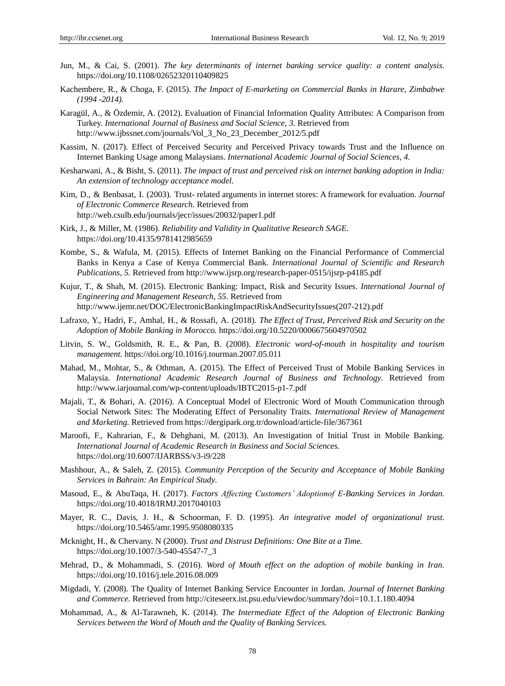- Jun, M., & Cai, S. (2001). *The key determinants of internet banking service quality: a content analysis.*  https://doi.org/10.1108/02652320110409825
- Kachembere, R., & Choga, F. (2015). *The Impact of E-marketing on Commercial Banks in Harare, Zimbabwe (1994 -2014).*
- Karagül, A., & Özdemir, A. (2012). Evaluation of Financial Information Quality Attributes: A Comparison from Turkey. *International Journal of Business and Social Science, 3.* Retrieved from [http://www.ijbssnet.com/journals/Vol\\_3\\_No\\_23\\_December\\_2012/5.pdf](http://www.ijbssnet.com/journals/Vol_3_No_23_December_2012/5.pdf)
- Kassim, N. (2017). Effect of Perceived Security and Perceived Privacy towards Trust and the Influence on Internet Banking Usage among Malaysians. *International Academic Journal of Social Sciences, 4.*
- Kesharwani, A., & Bisht, S. (2011). *The impact of trust and perceived risk on internet banking adoption in India: An extension of technology acceptance model.*
- Kim, D., & Benbasat, I. (2003). Trust- related arguments in internet stores: A framework for evaluation. *Journal of Electronic Commerce Research.* Retrieved from <http://web.csulb.edu/journals/jecr/issues/20032/paper1.pdf>
- [Kirk,](https://www.google.jo/search?hl=ar&tbo=p&tbm=bks&q=inauthor:%22Jerome+Kirk%22) J., & Miller, M. (1986). *Reliability and Validity in Qualitative Research SAGE.* https://doi.org/10.4135/9781412985659
- Kombe, S., & Wafula, M. (2015). Effects of Internet Banking on the Financial Performance of Commercial Banks in Kenya a Case of Kenya Commercial Bank*. International Journal of Scientific and Research Publications, 5.* Retrieved from<http://www.ijsrp.org/research-paper-0515/ijsrp-p4185.pdf>
- Kujur, T., & Shah, M. (2015). Electronic Banking: Impact, Risk and Security Issues. *International Journal of Engineering and Management Research, 55.* Retrieved from [http://www.ijemr.net/DOC/ElectronicBankingImpactRiskAndSecurityIssues\(207-212\).pdf](http://www.ijemr.net/DOC/ElectronicBankingImpactRiskAndSecurityIssues(207-212).pdf)
- Lafraxo, Y., Hadri, F., Amhal, H., & Rossafi, A. (2018). *The Effect of Trust, Perceived Risk and Security on the Adoption of Mobile Banking in Morocco.* https://doi.org/10.5220/0006675604970502
- Litvin, S. W., Goldsmith, R. E., & Pan, B. (2008). *Electronic word-of-mouth in hospitality and tourism management.* <https://doi.org/10.1016/j.tourman.2007.05.011>
- Mahad, M., Mohtar, S., & Othman, A. (2015). The Effect of Perceived Trust of Mobile Banking Services in Malaysia. *International Academic Research Journal of Business and Technology.* Retrieved from <http://www.iarjournal.com/wp-content/uploads/IBTC2015-p1-7.pdf>
- Majali, T., & Bohari, A. (2016). A Conceptual Model of Electronic Word of Mouth Communication through Social Network Sites: The Moderating Effect of Personality Traits. *International Review of Management and Marketing.* Retrieved from<https://dergipark.org.tr/download/article-file/367361>
- Maroofi, F., Kahrarian, F., & Dehghani, M. (2013). An Investigation of Initial Trust in Mobile Banking. *International Journal of Academic Research in Business and Social Sciences.* https://doi.org/10.6007/IJARBSS/v3-i9/228
- Mashhour, A., & Saleh, Z. (2015). *Community Perception of the Security and Acceptance of Mobile Banking Services in Bahrain: An Empirical Study.*
- Masoud, E., & AbuTaqa, H. (2017). *Factors Affecting Customers' Adoptionof E-Banking Services in Jordan.*  https://doi.org/10.4018/IRMJ.2017040103
- Mayer, R. C., Davis, J. H., & Schoorman, F. D. (1995). *An integrative model of organizational trust.*  <https://doi.org/10.5465/amr.1995.9508080335>
- [Mcknight,](https://www.researchgate.net/profile/D_Mcknight) H., & [Chervany.](https://www.researchgate.net/profile/Norman_Chervany) N (2000). *Trust and Distrust Definitions: One Bite at a Time.* https://doi.org/10.1007/3-540-45547-7\_3
- Mehrad, D., & Mohammadi, S. (2016). *Word of Mouth effect on the adoption of mobile banking in Iran.*  <https://doi.org/10.1016/j.tele.2016.08.009>
- Migdadi, Y. (2008). The Quality of Internet Banking Service Encounter in Jordan. *Journal of Internet Banking and Commerce.* Retrieved fro[m http://citeseerx.ist.psu.edu/viewdoc/summary?doi=10.1.1.180.4094](http://citeseerx.ist.psu.edu/viewdoc/summary?doi=10.1.1.180.4094)
- Mohammad, A., & Al-Tarawneh, K. (2014). *The Intermediate Effect of the Adoption of Electronic Banking Services between the Word of Mouth and the Quality of Banking Services.*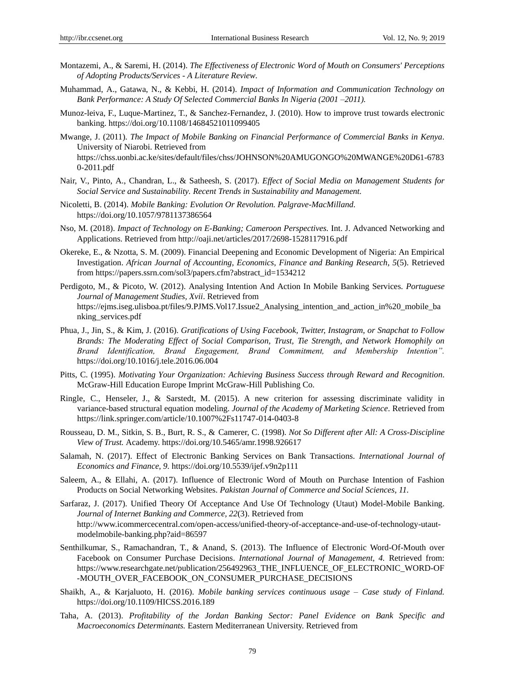- Montazemi, A., & Saremi, H. (2014). *The Effectiveness of Electronic Word of Mouth on Consumers' Perceptions of Adopting Products/Services - A Literature Review.*
- Muhammad, A., Gatawa, N., & Kebbi, H. (2014). *Impact of Information and Communication Technology on Bank Performance: A Study Of Selected Commercial Banks In Nigeria (2001 –2011).*
- Munoz-leiva, F., Luque-Martinez, T., & Sanchez-Fernandez, J. (2010). How to improve trust towards electronic banking. https://doi.org/10.1108/14684521011099405
- Mwange, J. (2011). *The Impact of Mobile Banking on Financial Performance of Commercial Banks in Kenya.*  University of Niarobi. Retrieved from [https://chss.uonbi.ac.ke/sites/default/files/chss/JOHNSON%20AMUGONGO%20MWANGE%20D61-6783](https://chss.uonbi.ac.ke/sites/default/files/chss/JOHNSON%20AMUGONGO%20MWANGE%20D61-67830-2011.pdf) [0-2011.pdf](https://chss.uonbi.ac.ke/sites/default/files/chss/JOHNSON%20AMUGONGO%20MWANGE%20D61-67830-2011.pdf)
- Nair, V., Pinto, A., Chandran, L., & Satheesh, S. (2017). *Effect of Social Media on Management Students for Social Service and Sustainability. Recent Trends in Sustainability and Management.*
- Nicoletti, B. (2014). *Mobile Banking: Evolution Or Revolution. Palgrave-MacMilland.* https://doi.org/10.1057/9781137386564
- Nso, M. (2018). *Impact of Technology on E-Banking; Cameroon Perspectives.* Int. J. Advanced Networking and Applications. Retrieved from<http://oaji.net/articles/2017/2698-1528117916.pdf>
- [Okereke,](https://www.researchgate.net/profile/Emeka_Okereke2) E., & [Nzotta,](https://www.researchgate.net/scientific-contributions/80991425_Samuel_Mbadike_Nzotta) S. M. (2009). Financial Deepening and Economic Development of Nigeria: An Empirical Investigation. *African Journal of Accounting, Economics, Finance and Banking Research, 5*(5). Retrieved from [https://papers.ssrn.com/sol3/papers.cfm?abstract\\_id=1534212](https://papers.ssrn.com/sol3/papers.cfm?abstract_id=1534212)
- Perdigoto, M., & Picoto, W. (2012). Analysing Intention And Action In Mobile Banking Services. *Portuguese Journal of Management Studies, Xvii*. Retrieved from https://eims.iseg.ulisboa.pt/files/9.PJMS.Vol17.Issue2 Analysing intention and action in%20 mobile ba [nking\\_services.pdf](https://ejms.iseg.ulisboa.pt/files/9.PJMS.Vol17.Issue2_Analysing_intention_and_action_in%20_mobile_banking_services.pdf)
- Phua, J., Jin, S., & Kim, J. (2016). *Gratifications of Using Facebook, Twitter, Instagram, or Snapchat to Follow Brands: The Moderating Effect of Social Comparison, Trust, Tie Strength, and Network Homophily on Brand Identification, Brand Engagement, Brand Commitment, and Membership Intention".* <https://doi.org/10.1016/j.tele.2016.06.004>
- Pitts, C. (1995). *Motivating Your Organization: Achieving Business Success through Reward and Recognition*. [McGraw-Hill Education Europe I](https://www.bookdepository.com/publishers/McGraw-Hill-Education-Europe)mprint McGraw-Hill Publishing Co.
- Ringle, C., Henseler, J., & Sarstedt, M. (2015). A new criterion for assessing discriminate validity in variance-based structural equation modeling. *[Journal of the Academy of Marketing Science.](https://link.springer.com/journal/11747)* Retrieved from <https://link.springer.com/article/10.1007%2Fs11747-014-0403-8>
- Rousseau, D. M., Sitkin, S. B., Burt, R. S., & Camerer, C. (1998). *Not So Different after All: A Cross-Discipline View of Trust.* Academy. https://doi.org/10.5465/amr.1998.926617
- Salamah, N. (2017). Effect of Electronic Banking Services on Bank Transactions. *International Journal of Economics and Finance, 9.* https://doi.org/10.5539/ijef.v9n2p111
- Saleem, A., & Ellahi, A. (2017). Influence of Electronic Word of Mouth on Purchase Intention of Fashion Products on Social Networking Websites. *Pakistan Journal of Commerce and Social Sciences, 11.*
- Sarfaraz, J. (2017). Unified Theory Of Acceptance And Use Of Technology (Utaut) Model-Mobile Banking. *Journal of Internet Banking and Commerce, 22*(3). Retrieved from [http://www.icommercecentral.com/open-access/unified-theory-of-acceptance-and-use-of-technology-utaut](http://www.icommercecentral.com/open-access/unified-theory-of-acceptance-and-use-of-technology-utaut-modelmobile-banking.php?aid=86597)[modelmobile-banking.php?aid=86597](http://www.icommercecentral.com/open-access/unified-theory-of-acceptance-and-use-of-technology-utaut-modelmobile-banking.php?aid=86597)
- Senthilkumar, S., Ramachandran, T., & Anand, S. (2013). The Influence of Electronic Word-Of-Mouth over Facebook on Consumer Purchase Decisions. *International Journal of Management, 4.* Retrieved from: [https://www.researchgate.net/publication/256492963\\_THE\\_INFLUENCE\\_OF\\_ELECTRONIC\\_WORD-OF](https://www.researchgate.net/publication/256492963_THE_INFLUENCE_OF_ELECTRONIC_WORD-OF-MOUTH_OVER_FACEBOOK_ON_CONSUMER_PURCHASE_DECISIONS) [-MOUTH\\_OVER\\_FACEBOOK\\_ON\\_CONSUMER\\_PURCHASE\\_DECISIONS](https://www.researchgate.net/publication/256492963_THE_INFLUENCE_OF_ELECTRONIC_WORD-OF-MOUTH_OVER_FACEBOOK_ON_CONSUMER_PURCHASE_DECISIONS)
- Shaikh, A., & Karjaluoto, H. (2016). *Mobile banking services continuous usage – Case study of Finland.*  https://doi.org/10.1109/HICSS.2016.189
- Taha, A. (2013). *Profitability of the Jordan Banking Sector: Panel Evidence on Bank Specific and Macroeconomics Determinants.* Eastern Mediterranean University. Retrieved from